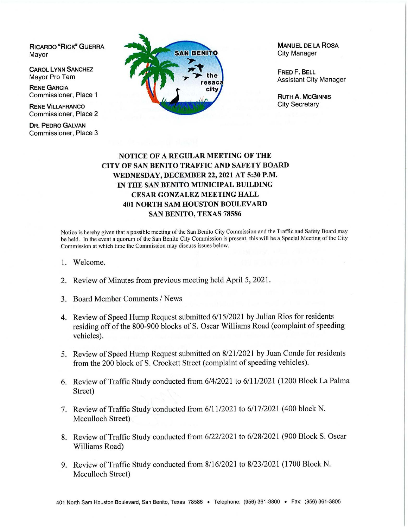**RICARDO "RICK" GUERRA**  Mayor

**CAROL LYNN SANCHEZ**  Mayor Pro Tem

**RENE GARCIA**  Commissioner, Place 1

**RENE VILLAFRANCO**  Commissioner, Place 2

**DR. PEDRO GALVAN** Commissioner, Place 3



**MANUEL DE LA ROSA**  City Manager

**FRED F. BELL**  Assistant City Manager

**RUTH A. MCGINNIS**  City Secretary

## **NOTICE OF A REGULAR MEETING OF THE CITY OF SAN BENITO TRAFFIC AND SAFETY BOARD WEDNESDAY, DECEMBER 22, 2021 AT 5:30 P.M. IN THE SAN BENITO MUNICIPAL BUILDING CESAR GONZALEZ MEETING HALL 401 NORTH SAM HOUSTON BOULEY ARD SAN BENITO, TEXAS 78586**

Notice is hereby given that a possible meeting of the San Benito City Commission and the Traffic and Safety Board may be held. In the event a quorum of the San Benito City Commission is present, this will be a Special Meeting of the City Commission at which time the Commission may discuss issues below.

- 1. Welcome.
- 2. Review of Minutes from previous meeting held April 5, 2021.
- 3. Board Member Comments/ News
- 4. Review of Speed Hump Request submitted 6/15/2021 by Julian Rios for residents residing off of the 800-900 blocks of S. Oscar Williams Road (complaint of speeding vehicles).
- 5. Review of Speed Hump Request submitted on 8/21/2021 by Juan Conde for residents from the 200 block of S. Crockett Street (complaint of speeding vehicles).
- 6. Review of Traffic Study conducted from 6/4/2021 to 6/11/2021 (1200 Block La Palma Street)
- 7. Review of Traffic Study'conducted from 6/11/2021 to 6/17/2021 (400 block N. Mcculloch Street)
- 8. Review of Traffic Study conducted from 6/22/2021 to 6/28/2021 (900 Block S. Oscar Williams Road)
- 9. Review of Traffic Study conducted from 8/16/2021 to 8/23/2021 ( 1700 Block N. Mcculloch Street)